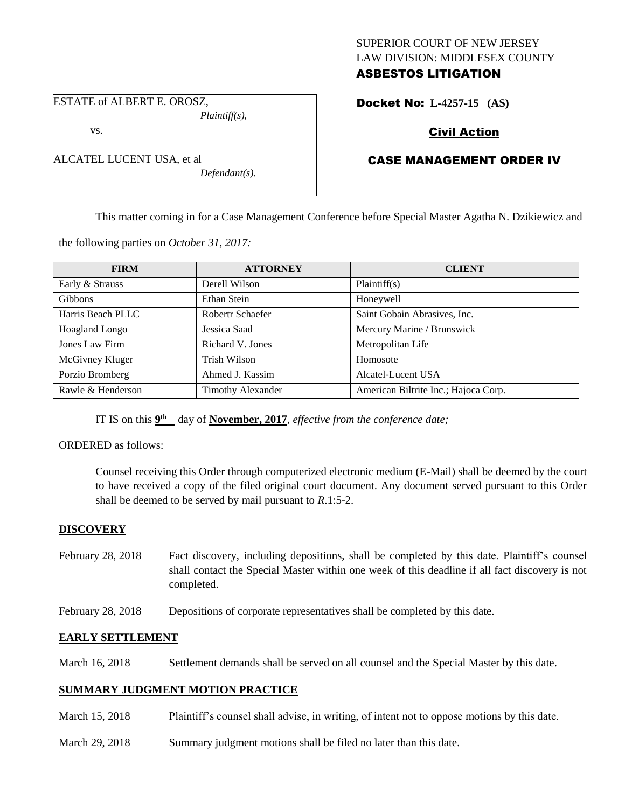## SUPERIOR COURT OF NEW JERSEY LAW DIVISION: MIDDLESEX COUNTY ASBESTOS LITIGATION

ESTATE of ALBERT E. OROSZ, *Plaintiff(s),*

vs.

| ALCATEL LUCENT USA, et al |                 |
|---------------------------|-----------------|
|                           | $D$ afraced and |

*Defendant(s).*

# Docket No: **L-4257-15 (AS)**

# Civil Action

# CASE MANAGEMENT ORDER IV

This matter coming in for a Case Management Conference before Special Master Agatha N. Dzikiewicz and

the following parties on *October 31, 2017:*

| <b>FIRM</b>       | <b>ATTORNEY</b>          | <b>CLIENT</b>                        |
|-------------------|--------------------------|--------------------------------------|
| Early & Strauss   | Derell Wilson            | Plaintiff(s)                         |
| <b>Gibbons</b>    | Ethan Stein              | Honeywell                            |
| Harris Beach PLLC | Robertr Schaefer         | Saint Gobain Abrasives, Inc.         |
| Hoagland Longo    | Jessica Saad             | Mercury Marine / Brunswick           |
| Jones Law Firm    | Richard V. Jones         | Metropolitan Life                    |
| McGivney Kluger   | Trish Wilson             | Homosote                             |
| Porzio Bromberg   | Ahmed J. Kassim          | Alcatel-Lucent USA                   |
| Rawle & Henderson | <b>Timothy Alexander</b> | American Biltrite Inc.; Hajoca Corp. |

IT IS on this  $9<sup>th</sup>$  day of **November, 2017**, *effective from the conference date*;

ORDERED as follows:

Counsel receiving this Order through computerized electronic medium (E-Mail) shall be deemed by the court to have received a copy of the filed original court document. Any document served pursuant to this Order shall be deemed to be served by mail pursuant to *R*.1:5-2.

## **DISCOVERY**

- February 28, 2018 Fact discovery, including depositions, shall be completed by this date. Plaintiff's counsel shall contact the Special Master within one week of this deadline if all fact discovery is not completed.
- February 28, 2018 Depositions of corporate representatives shall be completed by this date.

## **EARLY SETTLEMENT**

March 16, 2018 Settlement demands shall be served on all counsel and the Special Master by this date.

## **SUMMARY JUDGMENT MOTION PRACTICE**

- March 15, 2018 Plaintiff's counsel shall advise, in writing, of intent not to oppose motions by this date.
- March 29, 2018 Summary judgment motions shall be filed no later than this date.